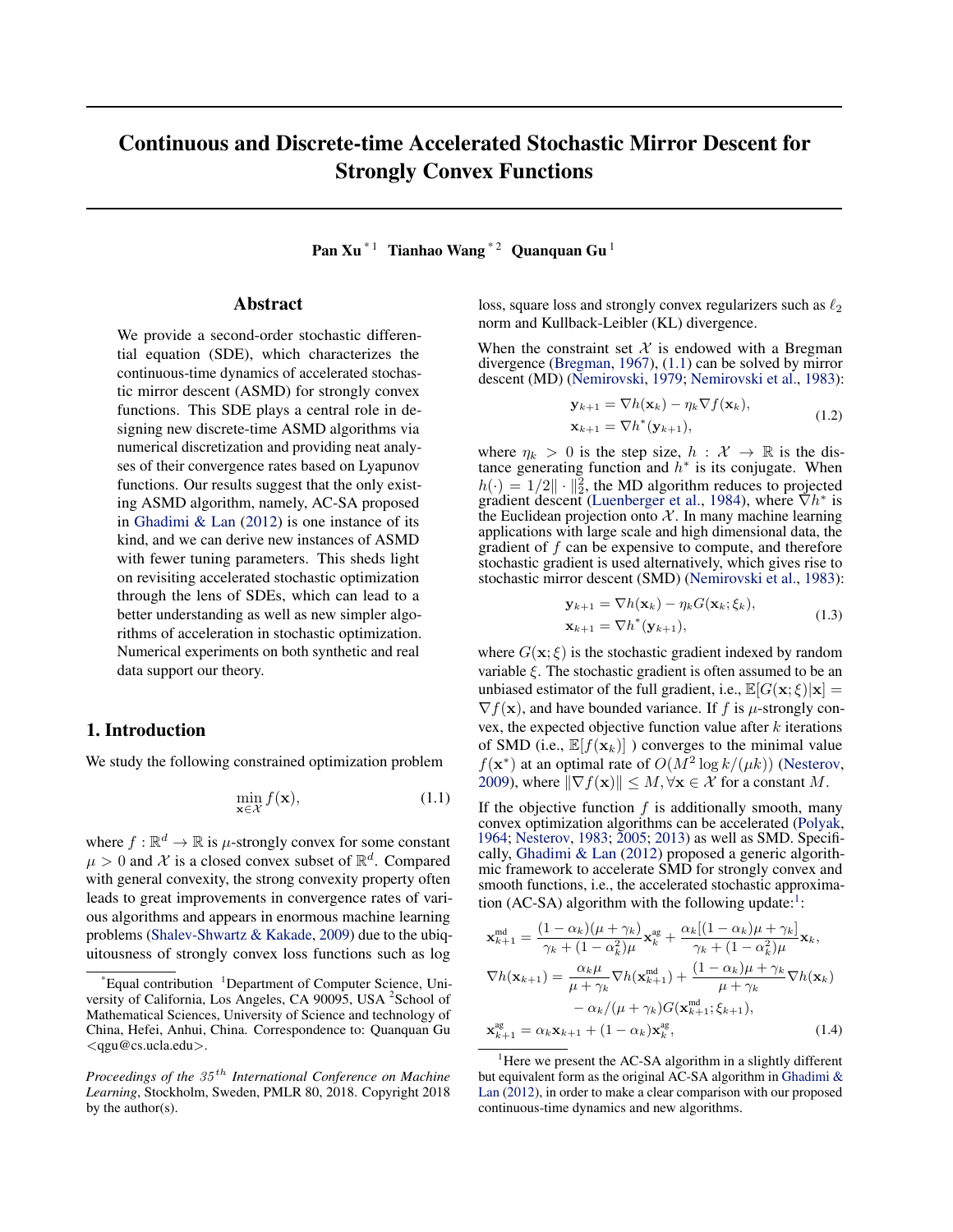# Continuous and Discrete-time Accelerated Stochastic Mirror Descent for Strongly Convex Functions

Pan Xu<sup> $*1$ </sup> Tianhao Wang<sup>\*2</sup> Quanquan Gu<sup>1</sup>

### Abstract

We provide a second-order stochastic differential equation (SDE), which characterizes the continuous-time dynamics of accelerated stochastic mirror descent (ASMD) for strongly convex functions. This SDE plays a central role in designing new discrete-time ASMD algorithms via numerical discretization and providing neat analyses of their convergence rates based on Lyapunov functions. Our results suggest that the only existing ASMD algorithm, namely, AC-SA proposed in Ghadimi & Lan (2012) is one instance of its kind, and we can derive new instances of ASMD with fewer tuning parameters. This sheds light on revisiting accelerated stochastic optimization through the lens of SDEs, which can lead to a better understanding as well as new simpler algorithms of acceleration in stochastic optimization. Numerical experiments on both synthetic and real data support our theory.

## 1. Introduction

We study the following constrained optimization problem

$$
\min_{\mathbf{x} \in \mathcal{X}} f(\mathbf{x}),\tag{1.1}
$$

where  $f : \mathbb{R}^d \to \mathbb{R}$  is *µ*-strongly convex for some constant  $\mu > 0$  and X is a closed convex subset of  $\mathbb{R}^d$ . Compared with general convexity, the strong convexity property often leads to great improvements in convergence rates of various algorithms and appears in enormous machine learning problems (Shalev-Shwartz & Kakade, 2009) due to the ubiquitousness of strongly convex loss functions such as log

loss, square loss and strongly convex regularizers such as  $\ell_2$ norm and Kullback-Leibler (KL) divergence.

When the constraint set  $X$  is endowed with a Bregman divergence (Bregman, 1967), (1.1) can be solved by mirror descent (MD) (Nemirovski, 1979; Nemirovski et al., 1983):

$$
\mathbf{y}_{k+1} = \nabla h(\mathbf{x}_k) - \eta_k \nabla f(\mathbf{x}_k),
$$
  
\n
$$
\mathbf{x}_{k+1} = \nabla h^*(\mathbf{y}_{k+1}),
$$
\n(1.2)

where  $\eta_k > 0$  is the step size,  $h : \mathcal{X} \to \mathbb{R}$  is the distance generating function and  $h^*$  is its conjugate. When  $h(\cdot) = 1/2 \| \cdot \|_2^2$ , the MD algorithm reduces to projected gradient descent (Luenberger et al., 1984), where  $\nabla h^*$  is the Euclidean projection onto *X* . In many machine learning applications with large scale and high dimensional data, the gradient of *f* can be expensive to compute, and therefore stochastic gradient is used alternatively, which gives rise to stochastic mirror descent (SMD) (Nemirovski et al., 1983):

$$
\mathbf{y}_{k+1} = \nabla h(\mathbf{x}_k) - \eta_k G(\mathbf{x}_k; \xi_k),
$$
  
\n
$$
\mathbf{x}_{k+1} = \nabla h^*(\mathbf{y}_{k+1}),
$$
\n(1.3)

where  $G(\mathbf{x}; \xi)$  is the stochastic gradient indexed by random variable  $\xi$ . The stochastic gradient is often assumed to be an unbiased estimator of the full gradient, i.e.,  $\mathbb{E}[G(\mathbf{x}; \xi)|\mathbf{x}] =$  $\nabla f(\mathbf{x})$ , and have bounded variance. If *f* is *µ*-strongly convex, the expected objective function value after *k* iterations of SMD (i.e.,  $\mathbb{E}[f(\mathbf{x}_k)]$ ) converges to the minimal value  $f(\mathbf{x}^*)$  at an optimal rate of  $O(M^2 \log k/(\mu k))$  (Nesterov, 2009), where  $\|\nabla f(\mathbf{x})\| \leq M, \forall \mathbf{x} \in \mathcal{X}$  for a constant *M*.

If the objective function  $f$  is additionally smooth, many convex optimization algorithms can be accelerated (Polyak, 1964; Nesterov, 1983; 2005; 2013) as well as SMD. Specifically, Ghadimi & Lan (2012) proposed a generic algorithmic framework to accelerate SMD for strongly convex and smooth functions, i.e., the accelerated stochastic approximation (AC-SA) algorithm with the following update: $\frac{1}{1}$ :

$$
\mathbf{x}_{k+1}^{\text{md}} = \frac{(1 - \alpha_k)(\mu + \gamma_k)}{\gamma_k + (1 - \alpha_k^2)\mu} \mathbf{x}_k^{\text{ag}} + \frac{\alpha_k[(1 - \alpha_k)\mu + \gamma_k]}{\gamma_k + (1 - \alpha_k^2)\mu} \mathbf{x}_k,
$$
  
\n
$$
\nabla h(\mathbf{x}_{k+1}) = \frac{\alpha_k \mu}{\mu + \gamma_k} \nabla h(\mathbf{x}_{k+1}) + \frac{(1 - \alpha_k)\mu + \gamma_k}{\mu + \gamma_k} \nabla h(\mathbf{x}_k)
$$
  
\n
$$
- \alpha_k/(\mu + \gamma_k) G(\mathbf{x}_{k+1}^{\text{md}}; \xi_{k+1}),
$$
  
\n
$$
\mathbf{x}_{k+1}^{\text{ag}} = \alpha_k \mathbf{x}_{k+1} + (1 - \alpha_k) \mathbf{x}_k^{\text{ag}},
$$
 (1.4)

<sup>\*</sup> Equal contribution <sup>1</sup> Department of Computer Science, University of California, Los Angeles, CA 90095, USA <sup>2</sup> School of Mathematical Sciences, University of Science and technology of China, Hefei, Anhui, China. Correspondence to: Quanquan Gu *<*qgu@cs.ucla.edu*>*.

*Proceedings of the 35 th International Conference on Machine Learning*, Stockholm, Sweden, PMLR 80, 2018. Copyright 2018 by the author(s).

<sup>&</sup>lt;sup>1</sup>Here we present the AC-SA algorithm in a slightly different but equivalent form as the original AC-SA algorithm in Ghadimi & Lan (2012), in order to make a clear comparison with our proposed continuous-time dynamics and new algorithms.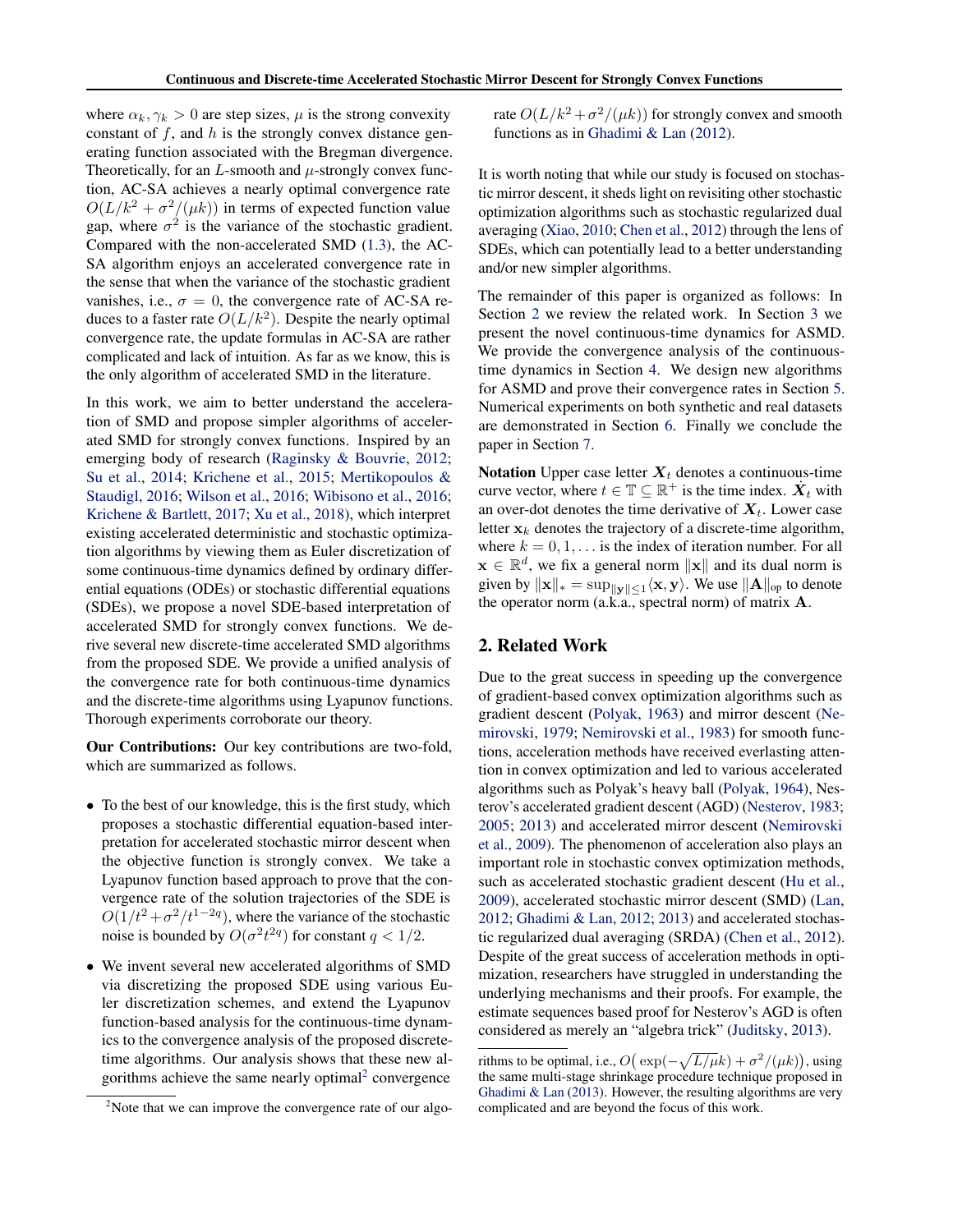where  $\alpha_k, \gamma_k > 0$  are step sizes,  $\mu$  is the strong convexity constant of *f*, and *h* is the strongly convex distance generating function associated with the Bregman divergence. Theoretically, for an  $L$ -smooth and  $\mu$ -strongly convex function, AC-SA achieves a nearly optimal convergence rate  $O(L/k^2 + \sigma^2/(\mu k))$  in terms of expected function value gap, where  $\sigma^2$  is the variance of the stochastic gradient. Compared with the non-accelerated SMD (1.3), the AC-SA algorithm enjoys an accelerated convergence rate in the sense that when the variance of the stochastic gradient vanishes, i.e.,  $\sigma = 0$ , the convergence rate of AC-SA reduces to a faster rate  $O(L/k^2)$ . Despite the nearly optimal convergence rate, the update formulas in AC-SA are rather complicated and lack of intuition. As far as we know, this is the only algorithm of accelerated SMD in the literature.

In this work, we aim to better understand the acceleration of SMD and propose simpler algorithms of accelerated SMD for strongly convex functions. Inspired by an emerging body of research (Raginsky & Bouvrie, 2012; Su et al., 2014; Krichene et al., 2015; Mertikopoulos & Staudigl, 2016; Wilson et al., 2016; Wibisono et al., 2016; Krichene & Bartlett, 2017; Xu et al., 2018), which interpret existing accelerated deterministic and stochastic optimization algorithms by viewing them as Euler discretization of some continuous-time dynamics defined by ordinary differential equations (ODEs) or stochastic differential equations (SDEs), we propose a novel SDE-based interpretation of accelerated SMD for strongly convex functions. We derive several new discrete-time accelerated SMD algorithms from the proposed SDE. We provide a unified analysis of the convergence rate for both continuous-time dynamics and the discrete-time algorithms using Lyapunov functions. Thorough experiments corroborate our theory.

Our Contributions: Our key contributions are two-fold, which are summarized as follows.

- To the best of our knowledge, this is the first study, which proposes a stochastic differential equation-based interpretation for accelerated stochastic mirror descent when the objective function is strongly convex. We take a Lyapunov function based approach to prove that the convergence rate of the solution trajectories of the SDE is  $O(1/t^2 + \sigma^2/t^{1-2q})$ , where the variance of the stochastic noise is bounded by  $O(\sigma^2 t^{2q})$  for constant  $q < 1/2$ .
- *•* We invent several new accelerated algorithms of SMD via discretizing the proposed SDE using various Euler discretization schemes, and extend the Lyapunov function-based analysis for the continuous-time dynamics to the convergence analysis of the proposed discretetime algorithms. Our analysis shows that these new algorithms achieve the same nearly optimal<sup>2</sup> convergence

rate  $O(L/k^2 + \sigma^2/(\mu k))$  for strongly convex and smooth functions as in Ghadimi & Lan (2012).

It is worth noting that while our study is focused on stochastic mirror descent, it sheds light on revisiting other stochastic optimization algorithms such as stochastic regularized dual averaging (Xiao, 2010; Chen et al., 2012) through the lens of SDEs, which can potentially lead to a better understanding and/or new simpler algorithms.

The remainder of this paper is organized as follows: In Section 2 we review the related work. In Section 3 we present the novel continuous-time dynamics for ASMD. We provide the convergence analysis of the continuoustime dynamics in Section 4. We design new algorithms for ASMD and prove their convergence rates in Section 5. Numerical experiments on both synthetic and real datasets are demonstrated in Section 6. Finally we conclude the paper in Section 7.

Notation Upper case letter  $X_t$  denotes a continuous-time curve vector, where  $t \in \mathbb{T} \subseteq \mathbb{R}^+$  is the time index.  $\dot{X}_t$  with an over-dot denotes the time derivative of  $X_t$ . Lower case letter  $x_k$  denotes the trajectory of a discrete-time algorithm, where  $k = 0, 1, \ldots$  is the index of iteration number. For all  $\mathbf{x} \in \mathbb{R}^d$ , we fix a general norm  $\|\mathbf{x}\|$  and its dual norm is given by  $\|\mathbf{x}\|_{*} = \sup_{\|\mathbf{y}\| \leq 1} \langle \mathbf{x}, \mathbf{y} \rangle$ . We use  $\|\mathbf{A}\|_{\text{op}}$  to denote the operator norm (a.k.a., spectral norm) of matrix  $A$ .

# 2. Related Work

Due to the great success in speeding up the convergence of gradient-based convex optimization algorithms such as gradient descent (Polyak, 1963) and mirror descent (Nemirovski, 1979; Nemirovski et al., 1983) for smooth functions, acceleration methods have received everlasting attention in convex optimization and led to various accelerated algorithms such as Polyak's heavy ball (Polyak, 1964), Nesterov's accelerated gradient descent (AGD) (Nesterov, 1983; 2005; 2013) and accelerated mirror descent (Nemirovski et al., 2009). The phenomenon of acceleration also plays an important role in stochastic convex optimization methods, such as accelerated stochastic gradient descent (Hu et al., 2009), accelerated stochastic mirror descent (SMD) (Lan, 2012; Ghadimi & Lan, 2012; 2013) and accelerated stochastic regularized dual averaging (SRDA) (Chen et al., 2012). Despite of the great success of acceleration methods in optimization, researchers have struggled in understanding the underlying mechanisms and their proofs. For example, the estimate sequences based proof for Nesterov's AGD is often considered as merely an "algebra trick" (Juditsky, 2013).

 $2^2$ Note that we can improve the convergence rate of our algo-

rithms to be optimal, i.e.,  $O(\exp(-\sqrt{L/\mu}k) + \sigma^2/(\mu k))$ , using the same multi-stage shrinkage procedure technique proposed in Ghadimi & Lan (2013). However, the resulting algorithms are very complicated and are beyond the focus of this work.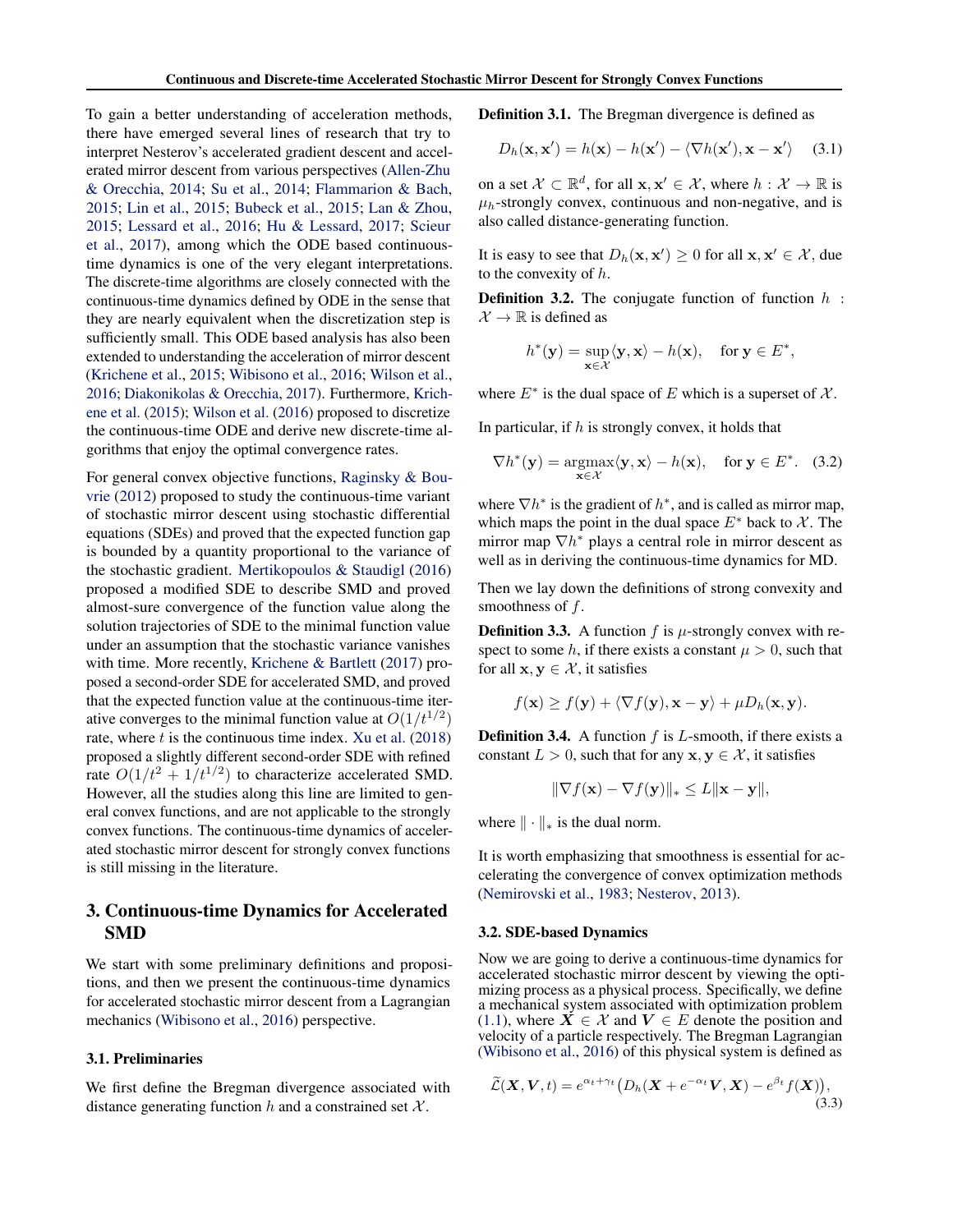To gain a better understanding of acceleration methods, there have emerged several lines of research that try to interpret Nesterov's accelerated gradient descent and accelerated mirror descent from various perspectives (Allen-Zhu & Orecchia, 2014; Su et al., 2014; Flammarion & Bach, 2015; Lin et al., 2015; Bubeck et al., 2015; Lan & Zhou, 2015; Lessard et al., 2016; Hu & Lessard, 2017; Scieur et al., 2017), among which the ODE based continuoustime dynamics is one of the very elegant interpretations. The discrete-time algorithms are closely connected with the continuous-time dynamics defined by ODE in the sense that they are nearly equivalent when the discretization step is sufficiently small. This ODE based analysis has also been extended to understanding the acceleration of mirror descent (Krichene et al., 2015; Wibisono et al., 2016; Wilson et al., 2016; Diakonikolas & Orecchia, 2017). Furthermore, Krichene et al. (2015); Wilson et al. (2016) proposed to discretize the continuous-time ODE and derive new discrete-time algorithms that enjoy the optimal convergence rates.

For general convex objective functions, Raginsky & Bouvrie (2012) proposed to study the continuous-time variant of stochastic mirror descent using stochastic differential equations (SDEs) and proved that the expected function gap is bounded by a quantity proportional to the variance of the stochastic gradient. Mertikopoulos & Staudigl (2016) proposed a modified SDE to describe SMD and proved almost-sure convergence of the function value along the solution trajectories of SDE to the minimal function value under an assumption that the stochastic variance vanishes with time. More recently, Krichene & Bartlett (2017) proposed a second-order SDE for accelerated SMD, and proved that the expected function value at the continuous-time iterative converges to the minimal function value at  $O(1/t^{1/2})$ rate, where *t* is the continuous time index. Xu et al. (2018) proposed a slightly different second-order SDE with refined rate  $O(1/t^2 + 1/t^{1/2})$  to characterize accelerated SMD. However, all the studies along this line are limited to general convex functions, and are not applicable to the strongly convex functions. The continuous-time dynamics of accelerated stochastic mirror descent for strongly convex functions is still missing in the literature.

# 3. Continuous-time Dynamics for Accelerated SMD

We start with some preliminary definitions and propositions, and then we present the continuous-time dynamics for accelerated stochastic mirror descent from a Lagrangian mechanics (Wibisono et al., 2016) perspective.

#### 3.1. Preliminaries

We first define the Bregman divergence associated with distance generating function *h* and a constrained set *X* .

Definition 3.1. The Bregman divergence is defined as

$$
D_h(\mathbf{x}, \mathbf{x}') = h(\mathbf{x}) - h(\mathbf{x}') - \langle \nabla h(\mathbf{x}'), \mathbf{x} - \mathbf{x}' \rangle \quad (3.1)
$$

on a set  $\mathcal{X} \subset \mathbb{R}^d$ , for all  $\mathbf{x}, \mathbf{x}' \in \mathcal{X}$ , where  $h : \mathcal{X} \to \mathbb{R}$  is  $\mu_h$ -strongly convex, continuous and non-negative, and is also called distance-generating function.

It is easy to see that  $D_h(\mathbf{x}, \mathbf{x}') \ge 0$  for all  $\mathbf{x}, \mathbf{x}' \in \mathcal{X}$ , due to the convexity of *h*.

Definition 3.2. The conjugate function of function *h* :  $\mathcal{X} \to \mathbb{R}$  is defined as

$$
h^*(\mathbf{y}) = \sup_{\mathbf{x} \in \mathcal{X}} \langle \mathbf{y}, \mathbf{x} \rangle - h(\mathbf{x}), \quad \text{for } \mathbf{y} \in E^*,
$$

where  $E^*$  is the dual space of  $E$  which is a superset of  $\mathcal{X}$ .

In particular, if *h* is strongly convex, it holds that

$$
\nabla h^*(\mathbf{y}) = \underset{\mathbf{x} \in \mathcal{X}}{\operatorname{argmax}} \langle \mathbf{y}, \mathbf{x} \rangle - h(\mathbf{x}), \quad \text{for } \mathbf{y} \in E^*. \quad (3.2)
$$

where  $\nabla h^*$  is the gradient of  $h^*$ , and is called as mirror map, which maps the point in the dual space  $E^*$  back to  $\mathcal X$ . The mirror map  $\nabla h^*$  plays a central role in mirror descent as well as in deriving the continuous-time dynamics for MD.

Then we lay down the definitions of strong convexity and smoothness of *f*.

**Definition 3.3.** A function  $f$  is  $\mu$ -strongly convex with respect to some *h*, if there exists a constant  $\mu > 0$ , such that for all  $x, y \in \mathcal{X}$ , it satisfies

$$
f(\mathbf{x}) \ge f(\mathbf{y}) + \langle \nabla f(\mathbf{y}), \mathbf{x} - \mathbf{y} \rangle + \mu D_h(\mathbf{x}, \mathbf{y}).
$$

Definition 3.4. A function *f* is *L*-smooth, if there exists a constant  $L > 0$ , such that for any  $x, y \in \mathcal{X}$ , it satisfies

$$
\|\nabla f(\mathbf{x}) - \nabla f(\mathbf{y})\|_{*} \leq L \|\mathbf{x} - \mathbf{y}\|,
$$

where  $\|\cdot\|_*$  is the dual norm.

It is worth emphasizing that smoothness is essential for accelerating the convergence of convex optimization methods (Nemirovski et al., 1983; Nesterov, 2013).

#### 3.2. SDE-based Dynamics

Now we are going to derive a continuous-time dynamics for accelerated stochastic mirror descent by viewing the optimizing process as a physical process. Specifically, we define a mechanical system associated with optimization problem (1.1), where  $X \in \mathcal{X}$  and  $V \in E$  denote the position and velocity of a particle respectively. The Bregman Lagrangian (Wibisono et al., 2016) of this physical system is defined as

$$
\widetilde{\mathcal{L}}(\mathbf{X}, \mathbf{V}, t) = e^{\alpha_t + \gamma_t} \big( D_h(\mathbf{X} + e^{-\alpha_t} \mathbf{V}, \mathbf{X}) - e^{\beta_t} f(\mathbf{X}) \big),\tag{3.3}
$$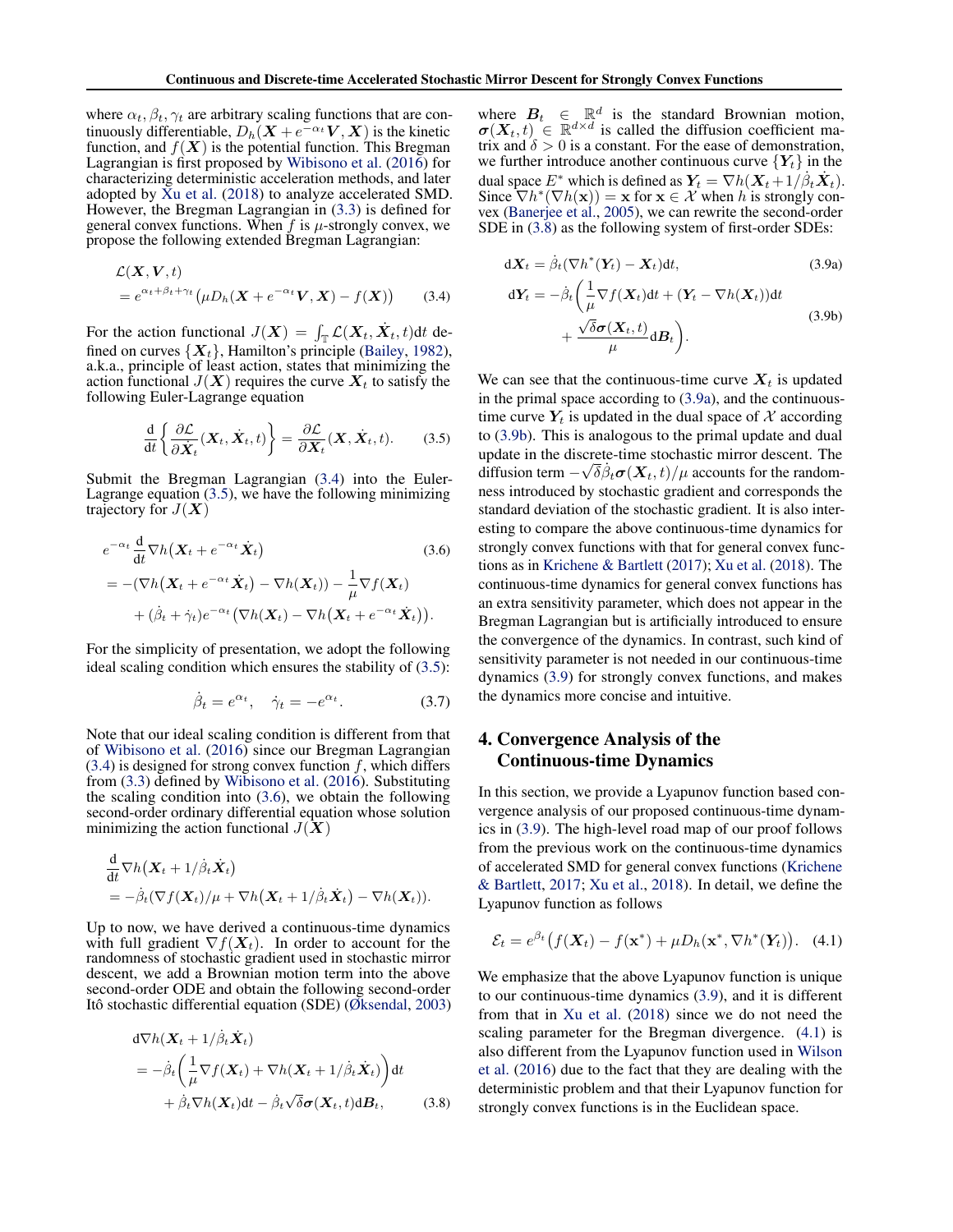where  $\alpha_t$ ,  $\beta_t$ ,  $\gamma_t$  are arbitrary scaling functions that are continuously differentiable,  $D_h(X + e^{-\alpha_t}V, X)$  is the kinetic function, and  $f(X)$  is the potential function. This Bregman Lagrangian is first proposed by Wibisono et al. (2016) for characterizing deterministic acceleration methods, and later adopted by  $\bar{X}u$  et al. (2018) to analyze accelerated SMD. However, the Bregman Lagrangian in (3.3) is defined for general convex functions. When  $f$  is  $\mu$ -strongly convex, we propose the following extended Bregman Lagrangian:

$$
\mathcal{L}(\mathbf{X}, \mathbf{V}, t)
$$
  
=  $e^{\alpha_t + \beta_t + \gamma_t} (\mu D_h(\mathbf{X} + e^{-\alpha_t} \mathbf{V}, \mathbf{X}) - f(\mathbf{X}))$  (3.4)

For the action functional  $J(\boldsymbol{X}) = \int_{\mathbb{T}} \mathcal{L}(\boldsymbol{X}_t, \boldsymbol{X}_t, t) dt$  defined on curves  $\{X_t\}$ , Hamilton's principle (Bailey, 1982), a.k.a., principle of least action, states that minimizing the action functional  $J(X)$  requires the curve  $X_t$  to satisfy the following Euler-Lagrange equation

$$
\frac{\mathrm{d}}{\mathrm{d}t} \left\{ \frac{\partial \mathcal{L}}{\partial \dot{\mathbf{X}}_t} (\mathbf{X}_t, \dot{\mathbf{X}}_t, t) \right\} = \frac{\partial \mathcal{L}}{\partial \mathbf{X}_t} (\mathbf{X}, \dot{\mathbf{X}}_t, t). \tag{3.5}
$$

Submit the Bregman Lagrangian (3.4) into the Euler-Lagrange equation (3.5), we have the following minimizing trajectory for  $J(X)$ 

$$
e^{-\alpha_t} \frac{d}{dt} \nabla h(\mathbf{X}_t + e^{-\alpha_t} \dot{\mathbf{X}}_t)
$$
\n
$$
= -(\nabla h(\mathbf{X}_t + e^{-\alpha_t} \dot{\mathbf{X}}_t) - \nabla h(\mathbf{X}_t)) - \frac{1}{\mu} \nabla f(\mathbf{X}_t)
$$
\n
$$
+ (\dot{\beta}_t + \dot{\gamma}_t) e^{-\alpha_t} (\nabla h(\mathbf{X}_t) - \nabla h(\mathbf{X}_t + e^{-\alpha_t} \dot{\mathbf{X}}_t)).
$$
\n(3.6)

For the simplicity of presentation, we adopt the following ideal scaling condition which ensures the stability of (3.5):

$$
\dot{\beta}_t = e^{\alpha_t}, \quad \dot{\gamma}_t = -e^{\alpha_t}.
$$
 (3.7)

Note that our ideal scaling condition is different from that of Wibisono et al. (2016) since our Bregman Lagrangian  $(3.4)$  is designed for strong convex function  $f$ , which differs from (3.3) defined by Wibisono et al. (2016). Substituting the scaling condition into  $(3.6)$ , we obtain the following second-order ordinary differential equation whose solution minimizing the action functional  $J(X)$ 

$$
\frac{d}{dt}\nabla h(\mathbf{X}_t + 1/\dot{\beta}_t \dot{\mathbf{X}}_t) \n= -\dot{\beta}_t(\nabla f(\mathbf{X}_t)/\mu + \nabla h(\mathbf{X}_t + 1/\dot{\beta}_t \dot{\mathbf{X}}_t) - \nabla h(\mathbf{X}_t)).
$$

Up to now, we have derived a continuous-time dynamics with full gradient  $\nabla f(X_t)$ . In order to account for the randomness of stochastic gradient used in stochastic mirror descent, we add a Brownian motion term into the above second-order ODE and obtain the following second-order Itô stochastic differential equation (SDE) (Øksendal, 2003)

$$
d\nabla h(\mathbf{X}_t + 1/\dot{\beta}_t \dot{\mathbf{X}}_t)
$$
  
=  $-\dot{\beta}_t \left( \frac{1}{\mu} \nabla f(\mathbf{X}_t) + \nabla h(\mathbf{X}_t + 1/\dot{\beta}_t \dot{\mathbf{X}}_t) \right) dt$   
+  $\dot{\beta}_t \nabla h(\mathbf{X}_t) dt - \dot{\beta}_t \sqrt{\delta} \sigma(\mathbf{X}_t, t) dB_t,$  (3.8)

where  $B_t \in \mathbb{R}^d$  is the standard Brownian motion,  $\boldsymbol{\sigma}(\boldsymbol{X}_t, t) \in \mathbb{R}^{d \times d}$  is called the diffusion coefficient matrix and  $\delta > 0$  is a constant. For the ease of demonstration, we further introduce another continuous curve  ${Y_t}$  in the dual space  $E^*$  which is defined as  $Y_t = \nabla h(X_t + 1/\beta_t \dot{X}_t)$ . Since  $\nabla h^*(\nabla h(\mathbf{x})) = \mathbf{x}$  for  $\mathbf{x} \in \mathcal{X}$  when *h* is strongly convex (Banerjee et al., 2005), we can rewrite the second-order SDE in (3.8) as the following system of first-order SDEs:

$$
d\mathbf{X}_t = \dot{\beta}_t (\nabla h^*(\mathbf{Y}_t) - \mathbf{X}_t) dt, \qquad (3.9a)
$$

$$
dY_t = -\dot{\beta}_t \left( \frac{1}{\mu} \nabla f(X_t) dt + (Y_t - \nabla h(X_t)) dt + \frac{\sqrt{\delta} \sigma(X_t, t)}{\mu} dB_t \right).
$$
\n(3.9b)

We can see that the continuous-time curve  $X_t$  is updated in the primal space according to (3.9a), and the continuoustime curve  $Y_t$  is updated in the dual space of  $\mathcal X$  according to (3.9b). This is analogous to the primal update and dual update in the discrete-time stochastic mirror descent. The diffusion term  $-\sqrt{\delta}\beta_t\sigma(X_t,t)/\mu$  accounts for the randomness introduced by stochastic gradient and corresponds the standard deviation of the stochastic gradient. It is also interesting to compare the above continuous-time dynamics for strongly convex functions with that for general convex functions as in Krichene & Bartlett (2017); Xu et al. (2018). The continuous-time dynamics for general convex functions has an extra sensitivity parameter, which does not appear in the Bregman Lagrangian but is artificially introduced to ensure the convergence of the dynamics. In contrast, such kind of sensitivity parameter is not needed in our continuous-time dynamics (3.9) for strongly convex functions, and makes the dynamics more concise and intuitive.

# 4. Convergence Analysis of the Continuous-time Dynamics

In this section, we provide a Lyapunov function based convergence analysis of our proposed continuous-time dynamics in (3.9). The high-level road map of our proof follows from the previous work on the continuous-time dynamics of accelerated SMD for general convex functions (Krichene & Bartlett, 2017; Xu et al., 2018). In detail, we define the Lyapunov function as follows

$$
\mathcal{E}_t = e^{\beta_t} \big( f(\mathbf{X}_t) - f(\mathbf{x}^*) + \mu D_h(\mathbf{x}^*, \nabla h^*(\mathbf{Y}_t) \big). \tag{4.1}
$$

We emphasize that the above Lyapunov function is unique to our continuous-time dynamics (3.9), and it is different from that in Xu et al. (2018) since we do not need the scaling parameter for the Bregman divergence. (4.1) is also different from the Lyapunov function used in Wilson et al. (2016) due to the fact that they are dealing with the deterministic problem and that their Lyapunov function for strongly convex functions is in the Euclidean space.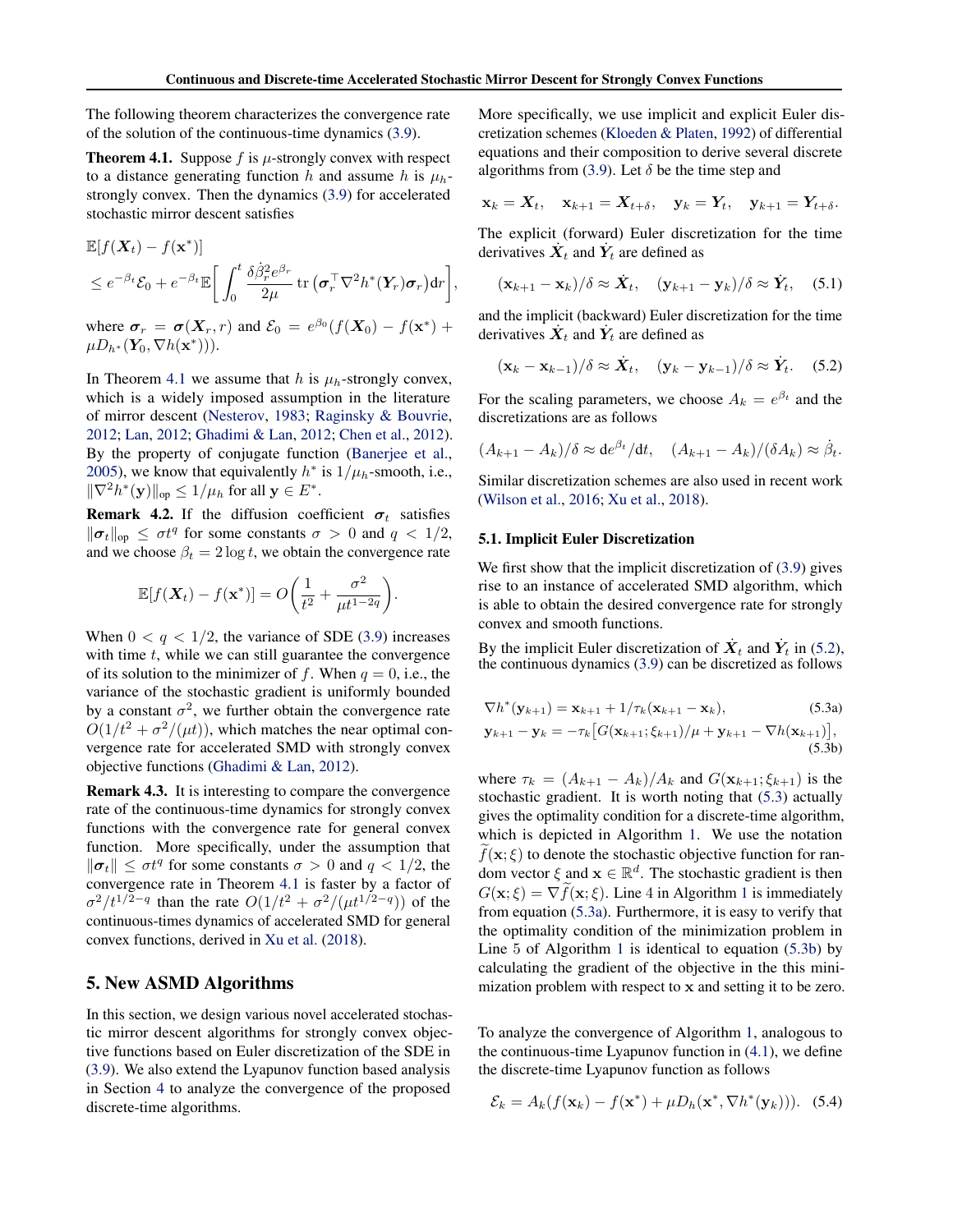The following theorem characterizes the convergence rate of the solution of the continuous-time dynamics (3.9).

**Theorem 4.1.** Suppose  $f$  is  $\mu$ -strongly convex with respect to a distance generating function *h* and assume *h* is  $\mu_h$ strongly convex. Then the dynamics (3.9) for accelerated stochastic mirror descent satisfies

$$
\mathbb{E}[f(\boldsymbol{X}_t) - f(\mathbf{x}^*)] \n\leq e^{-\beta_t} \mathcal{E}_0 + e^{-\beta_t} \mathbb{E}\bigg[\int_0^t \frac{\delta \dot{\beta}_r^2 e^{\beta_r}}{2\mu} \operatorname{tr}(\boldsymbol{\sigma}_r^\top \nabla^2 h^*(\boldsymbol{Y}_r) \boldsymbol{\sigma}_r) d r\bigg],
$$

where  $\sigma_r = \sigma(X_r, r)$  and  $\mathcal{E}_0 = e^{\beta_0} (f(X_0) - f(x^*) + f(x))$  $\mu D_{h^*}(\mathbf{Y}_0, \nabla h(\mathbf{x}^*))$ ).

In Theorem 4.1 we assume that *h* is  $\mu_h$ -strongly convex, which is a widely imposed assumption in the literature of mirror descent (Nesterov, 1983; Raginsky & Bouvrie, 2012; Lan, 2012; Ghadimi & Lan, 2012; Chen et al., 2012). By the property of conjugate function (Banerjee et al., 2005), we know that equivalently  $h^*$  is  $1/\mu_h$ -smooth, i.e.,  $\|\nabla^2 h^*(\mathbf{y})\|_{\text{op}} \leq 1/\mu_h$  for all  $\mathbf{y} \in E^*$ .

**Remark 4.2.** If the diffusion coefficient  $\sigma_t$  satisfies  $\|\boldsymbol{\sigma}_t\|_{\text{op}} \leq \sigma t^q$  for some constants  $\sigma > 0$  and  $q < 1/2$ , and we choose  $\beta_t = 2 \log t$ , we obtain the convergence rate

$$
\mathbb{E}[f(\boldsymbol{X}_t) - f(\mathbf{x}^*)] = O\bigg(\frac{1}{t^2} + \frac{\sigma^2}{\mu t^{1-2q}}\bigg).
$$

When  $0 < q < 1/2$ , the variance of SDE (3.9) increases with time *t*, while we can still guarantee the convergence of its solution to the minimizer of f. When  $q = 0$ , i.e., the variance of the stochastic gradient is uniformly bounded by a constant  $\sigma^2$ , we further obtain the convergence rate  $O(1/t^2 + \sigma^2/(\mu t))$ , which matches the near optimal convergence rate for accelerated SMD with strongly convex objective functions (Ghadimi & Lan, 2012).

Remark 4.3. It is interesting to compare the convergence rate of the continuous-time dynamics for strongly convex functions with the convergence rate for general convex function. More specifically, under the assumption that  $\|\boldsymbol{\sigma}_t\| \leq \sigma t^q$  for some constants  $\sigma > 0$  and  $q < 1/2$ , the convergence rate in Theorem 4.1 is faster by a factor of  $\sigma^2/t^{1/2-q}$  than the rate  $O(1/t^2 + \sigma^2/(\mu t^{1/2-q}))$  of the continuous-times dynamics of accelerated SMD for general convex functions, derived in Xu et al. (2018).

## 5. New ASMD Algorithms

In this section, we design various novel accelerated stochastic mirror descent algorithms for strongly convex objective functions based on Euler discretization of the SDE in (3.9). We also extend the Lyapunov function based analysis in Section 4 to analyze the convergence of the proposed discrete-time algorithms.

More specifically, we use implicit and explicit Euler discretization schemes (Kloeden & Platen, 1992) of differential equations and their composition to derive several discrete algorithms from (3.9). Let  $\delta$  be the time step and

$$
\mathbf{x}_k = \mathbf{X}_t, \quad \mathbf{x}_{k+1} = \mathbf{X}_{t+\delta}, \quad \mathbf{y}_k = \mathbf{Y}_t, \quad \mathbf{y}_{k+1} = \mathbf{Y}_{t+\delta}.
$$

The explicit (forward) Euler discretization for the time derivatives  $\dot{X}_t$  and  $\dot{Y}_t$  are defined as

$$
(\mathbf{x}_{k+1} - \mathbf{x}_k)/\delta \approx \dot{\mathbf{X}}_t, \quad (\mathbf{y}_{k+1} - \mathbf{y}_k)/\delta \approx \dot{\mathbf{Y}}_t, \quad (5.1)
$$

and the implicit (backward) Euler discretization for the time derivatives  $\dot{\boldsymbol{X}}_t$  and  $\dot{\boldsymbol{Y}}_t$  are defined as

$$
(\mathbf{x}_k - \mathbf{x}_{k-1})/\delta \approx \dot{\mathbf{X}}_t, \quad (\mathbf{y}_k - \mathbf{y}_{k-1})/\delta \approx \dot{\mathbf{Y}}_t. \quad (5.2)
$$

For the scaling parameters, we choose  $A_k = e^{\beta_t}$  and the discretizations are as follows

$$
(A_{k+1}-A_k)/\delta \approx \mathrm{d}e^{\beta_t}/\mathrm{d}t, \quad (A_{k+1}-A_k)/(\delta A_k) \approx \dot{\beta}_t.
$$

Similar discretization schemes are also used in recent work (Wilson et al., 2016; Xu et al., 2018).

#### 5.1. Implicit Euler Discretization

We first show that the implicit discretization of  $(3.9)$  gives rise to an instance of accelerated SMD algorithm, which is able to obtain the desired convergence rate for strongly convex and smooth functions.

By the implicit Euler discretization of  $\dot{X}_t$  and  $\dot{Y}_t$  in (5.2), the continuous dynamics (3.9) can be discretized as follows

$$
\nabla h^*(\mathbf{y}_{k+1}) = \mathbf{x}_{k+1} + 1/\tau_k(\mathbf{x}_{k+1} - \mathbf{x}_k),
$$
\n(5.3a)

$$
\mathbf{y}_{k+1} - \mathbf{y}_k = -\tau_k \big[ G(\mathbf{x}_{k+1}; \xi_{k+1}) / \mu + \mathbf{y}_{k+1} - \nabla h(\mathbf{x}_{k+1}) \big],
$$
\n(5.3b)

where  $\tau_k = (A_{k+1} - A_k)/A_k$  and  $G(\mathbf{x}_{k+1}; \xi_{k+1})$  is the stochastic gradient. It is worth noting that (5.3) actually gives the optimality condition for a discrete-time algorithm, which is depicted in Algorithm 1. We use the notation  $f(\mathbf{x}; \xi)$  to denote the stochastic objective function for random vector  $\xi$  and  $\mathbf{x} \in \mathbb{R}^d$ . The stochastic gradient is then  $G(\mathbf{x}; \xi) = \nabla f(\mathbf{x}; \xi)$ . Line 4 in Algorithm 1 is immediately from equation (5.3a). Furthermore, it is easy to verify that the optimality condition of the minimization problem in Line 5 of Algorithm 1 is identical to equation (5.3b) by calculating the gradient of the objective in the this minimization problem with respect to x and setting it to be zero.

To analyze the convergence of Algorithm 1, analogous to the continuous-time Lyapunov function in (4.1), we define the discrete-time Lyapunov function as follows

$$
\mathcal{E}_k = A_k(f(\mathbf{x}_k) - f(\mathbf{x}^*) + \mu D_h(\mathbf{x}^*, \nabla h^*(\mathbf{y}_k))).
$$
 (5.4)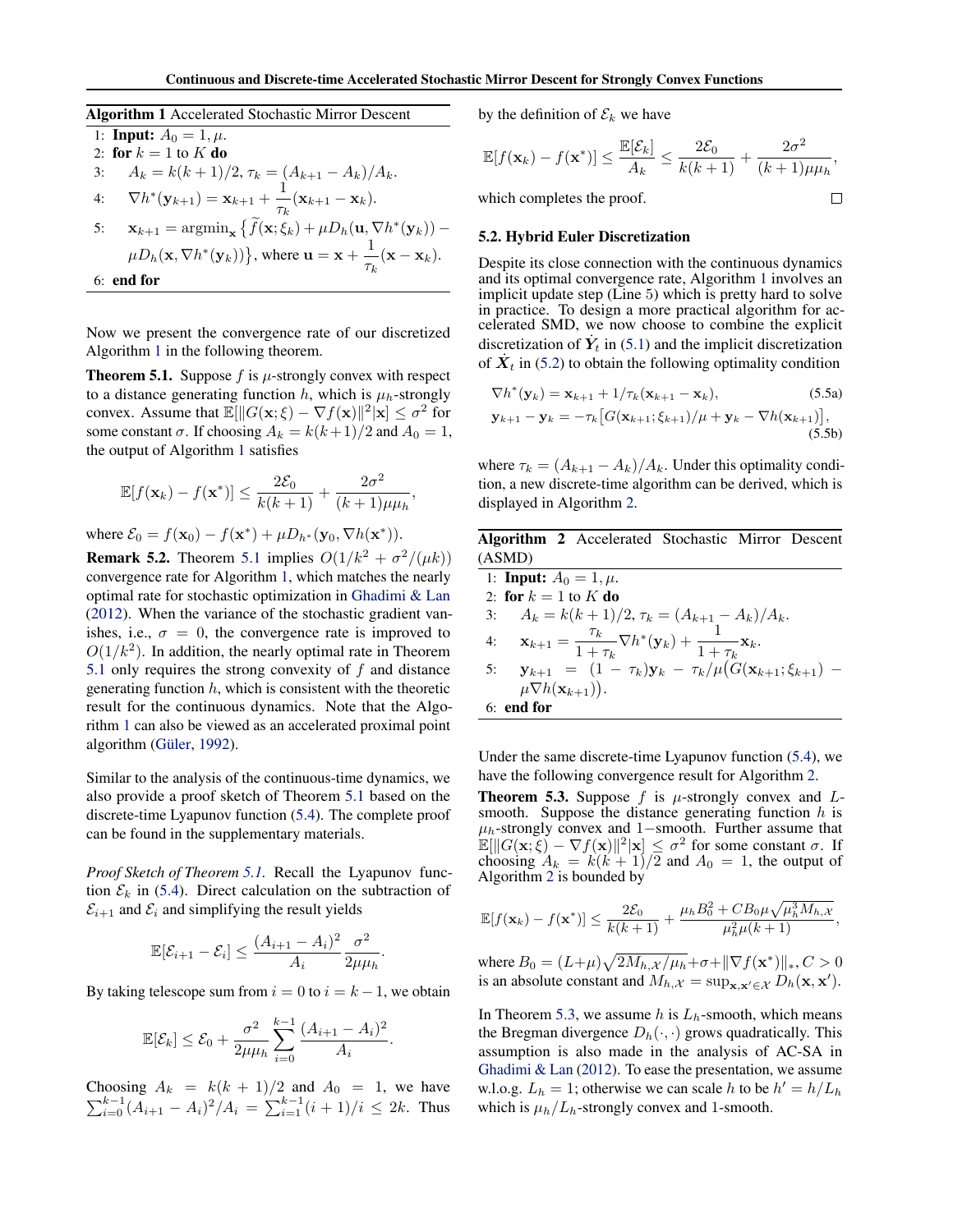Algorithm 1 Accelerated Stochastic Mirror Descent

1: Input: 
$$
A_0 = 1, \mu
$$
.  
2: for  $k = 1$  to K do

3: 
$$
A_k = k(k+1)/2
$$
,  $\tau_k = (A_{k+1} - A_k)/A_k$ .

4. 
$$
\nabla h^*(\mathbf{y}_{k+1}) = \mathbf{x}_{k+1} + \frac{1}{\tau_k}(\mathbf{x}_{k+1} - \mathbf{x}_k)
$$

4: 
$$
\nabla h^*(\mathbf{y}_{k+1}) = \mathbf{x}_{k+1} + \frac{1}{\tau_k}(\mathbf{x}_{k+1} - \mathbf{x}_k).
$$
  
\n5: 
$$
\mathbf{x}_{k+1} = \operatorname{argmin}_{\mathbf{x}} \left\{ \widetilde{f}(\mathbf{x}; \xi_k) + \mu D_h(\mathbf{u}, \nabla h^*(\mathbf{y}_k)) - \mu D_h(\mathbf{x}, \nabla h^*(\mathbf{y}_k)) \right\}, \text{ where } \mathbf{u} = \mathbf{x} + \frac{1}{\tau_k}(\mathbf{x} - \mathbf{x}_k).
$$
  
\n6: **end for**

Now we present the convergence rate of our discretized Algorithm 1 in the following theorem.

**Theorem 5.1.** Suppose  $f$  is  $\mu$ -strongly convex with respect to a distance generating function  $h$ , which is  $\mu_h$ -strongly convex. Assume that  $\mathbb{E}[\|G(\mathbf{x}; \xi) - \nabla f(\mathbf{x})\|^2 | \mathbf{x}] \leq \sigma^2$  for some constant  $\sigma$ . If choosing  $A_k = k(k+1)/2$  and  $A_0 = 1$ , the output of Algorithm 1 satisfies

$$
\mathbb{E}[f(\mathbf{x}_k) - f(\mathbf{x}^*)] \le \frac{2\mathcal{E}_0}{k(k+1)} + \frac{2\sigma^2}{(k+1)\mu\mu_h},
$$

where  $\mathcal{E}_0 = f(\mathbf{x}_0) - f(\mathbf{x}^*) + \mu D_{h^*}(\mathbf{y}_0, \nabla h(\mathbf{x}^*))$ .

**Remark 5.2.** Theorem 5.1 implies  $O(1/k^2 + \sigma^2/(\mu k))$ convergence rate for Algorithm 1, which matches the nearly optimal rate for stochastic optimization in Ghadimi & Lan (2012). When the variance of the stochastic gradient vanishes, i.e.,  $\sigma = 0$ , the convergence rate is improved to  $O(1/k^2)$ . In addition, the nearly optimal rate in Theorem 5.1 only requires the strong convexity of *f* and distance generating function *h*, which is consistent with the theoretic result for the continuous dynamics. Note that the Algorithm 1 can also be viewed as an accelerated proximal point algorithm (Güler, 1992).

Similar to the analysis of the continuous-time dynamics, we also provide a proof sketch of Theorem 5.1 based on the discrete-time Lyapunov function (5.4). The complete proof can be found in the supplementary materials.

*Proof Sketch of Theorem 5.1.* Recall the Lyapunov function  $\mathcal{E}_k$  in (5.4). Direct calculation on the subtraction of  $\mathcal{E}_{i+1}$  and  $\mathcal{E}_i$  and simplifying the result yields

$$
\mathbb{E}[\mathcal{E}_{i+1} - \mathcal{E}_i] \le \frac{(A_{i+1} - A_i)^2}{A_i} \frac{\sigma^2}{2\mu\mu_h}.
$$

By taking telescope sum from  $i = 0$  to  $i = k - 1$ , we obtain

$$
\mathbb{E}[\mathcal{E}_k] \le \mathcal{E}_0 + \frac{\sigma^2}{2\mu\mu_h} \sum_{i=0}^{k-1} \frac{(A_{i+1} - A_i)^2}{A_i}.
$$

Choosing  $A_k = k(k+1)/2$  and  $A_0 = 1$ , we have  $\sum_{i=0}^{k-1} (A_{i+1} - A_i)^2 / A_i = \sum_{i=1}^{k-1} (i+1)/i \leq 2k$ . Thus by the definition of  $\mathcal{E}_k$  we have

$$
\mathbb{E}[f(\mathbf{x}_k) - f(\mathbf{x}^*)] \le \frac{\mathbb{E}[\mathcal{E}_k]}{A_k} \le \frac{2\mathcal{E}_0}{k(k+1)} + \frac{2\sigma^2}{(k+1)\mu\mu_h},
$$

which completes the proof.

#### 5.2. Hybrid Euler Discretization

Despite its close connection with the continuous dynamics and its optimal convergence rate, Algorithm 1 involves an implicit update step (Line 5) which is pretty hard to solve in practice. To design a more practical algorithm for accelerated SMD, we now choose to combine the explicit discretization of  $\dot{Y}_t$  in (5.1) and the implicit discretization of  $X_t$  in (5.2) to obtain the following optimality condition

$$
\nabla h^*(\mathbf{y}_k) = \mathbf{x}_{k+1} + 1/\tau_k(\mathbf{x}_{k+1} - \mathbf{x}_k),
$$
\n
$$
\mathbf{y}_{k+1} - \mathbf{y}_k = -\tau_k \big[ G(\mathbf{x}_{k+1}; \xi_{k+1}) / \mu + \mathbf{y}_k - \nabla h(\mathbf{x}_{k+1}) \big],
$$
\n(5.5b)

where  $\tau_k = (A_{k+1} - A_k)/A_k$ . Under this optimality condition, a new discrete-time algorithm can be derived, which is displayed in Algorithm 2.

Algorithm 2 Accelerated Stochastic Mirror Descent (ASMD)

1: **Input:**  $A_0 = 1, \mu$ . 2: for  $k = 1$  to  $K$  do 3:  $A_k = k(k+1)/2, \tau_k = (A_{k+1} - A_k)/A_k.$ 4:  $\mathbf{x}_{k+1} = \frac{\tau_k}{1 + \tau_k} \nabla h^*(\mathbf{y}_k) + \frac{1}{1 + \tau_k} \mathbf{x}_k.$ 5:  $\mathbf{y}_{k+1} = (1 - \tau_k)\mathbf{y}_k - \tau_k/\mu(G(\mathbf{x}_{k+1}; \xi_{k+1}) \mu \nabla h(\mathbf{x}_{k+1})$ . 6: end for

Under the same discrete-time Lyapunov function (5.4), we have the following convergence result for Algorithm 2.

Theorem 5.3. Suppose *f* is *µ*-strongly convex and *L*smooth. Suppose the distance generating function *h* is  $\mu_h$ -strongly convex and 1-smooth. Further assume that  $\mathbb{E}[\|G(\mathbf{x}; \xi) - \nabla f(\mathbf{x})\|^2 | \mathbf{x}] \le \sigma^2$  for some constant  $\sigma$ . If choosing  $A_k = k(k+1)/2$  and  $A_0 = 1$ , the output of Algorithm 2 is bounded by

$$
\mathbb{E}[f(\mathbf{x}_k) - f(\mathbf{x}^*)] \leq \frac{2\mathcal{E}_0}{k(k+1)} + \frac{\mu_h B_0^2 + C B_0 \mu \sqrt{\mu_h^3 M_{h,\mathcal{X}}}}{\mu_h^2 \mu(k+1)},
$$

where  $B_0 = (L+\mu)\sqrt{2M_h{}_{,\mathcal{X}}/\mu_h} + \sigma + ||\nabla f(\mathbf{x}^*)||_*, C > 0$ is an absolute constant and  $M_{h,\mathcal{X}} = \sup_{\mathbf{x},\mathbf{x}' \in \mathcal{X}} D_h(\mathbf{x}, \mathbf{x}')$ .

In Theorem 5.3, we assume  $h$  is  $L_h$ -smooth, which means the Bregman divergence  $D_h(\cdot, \cdot)$  grows quadratically. This assumption is also made in the analysis of AC-SA in Ghadimi & Lan (2012). To ease the presentation, we assume w.l.o.g.  $L_h = 1$ ; otherwise we can scale *h* to be  $h' = h/L_h$ which is  $\mu_h/L_h$ -strongly convex and 1-smooth.

 $\Box$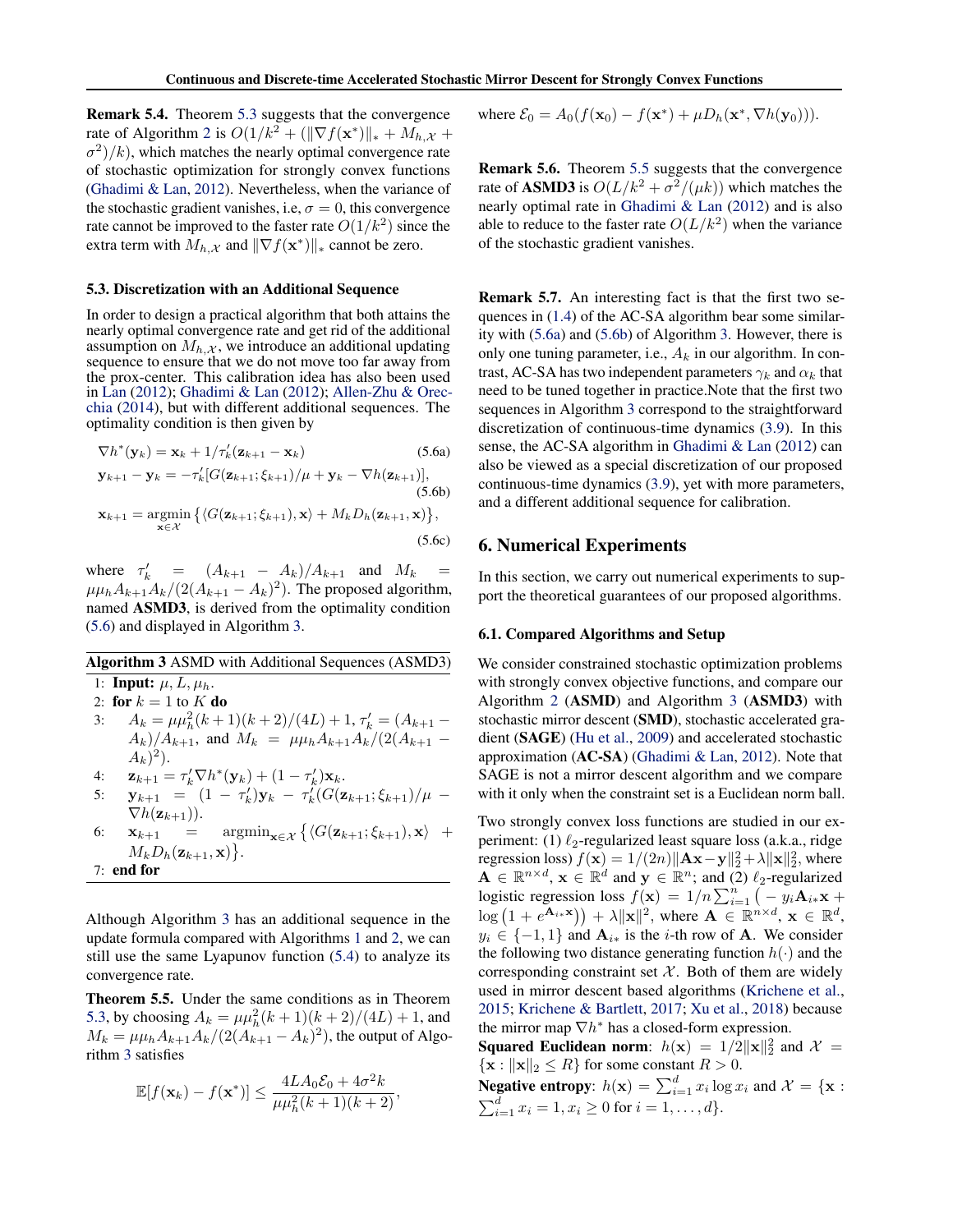Remark 5.4. Theorem 5.3 suggests that the convergence rate of Algorithm 2 is  $O(1/k^2 + (||\nabla f(\mathbf{x}^*)||_* + M_{h,\mathcal{X}} +$  $\sigma^2$ / $(k)$ , which matches the nearly optimal convergence rate of stochastic optimization for strongly convex functions (Ghadimi & Lan, 2012). Nevertheless, when the variance of the stochastic gradient vanishes, i.e,  $\sigma = 0$ , this convergence rate cannot be improved to the faster rate  $O(1/k^2)$  since the extra term with  $M_{h,X}$  and  $\|\nabla f(\mathbf{x}^*)\|_*$  cannot be zero.

#### 5.3. Discretization with an Additional Sequence

In order to design a practical algorithm that both attains the nearly optimal convergence rate and get rid of the additional assumption on  $M_{h,x}$ , we introduce an additional updating sequence to ensure that we do not move too far away from the prox-center. This calibration idea has also been used in Lan (2012); Ghadimi & Lan (2012); Allen-Zhu & Orecchia (2014), but with different additional sequences. The optimality condition is then given by

$$
\nabla h^*(\mathbf{y}_k) = \mathbf{x}_k + 1/\tau'_k(\mathbf{z}_{k+1} - \mathbf{x}_k)
$$
(5.6a)  
\n
$$
\mathbf{y}_{k+1} - \mathbf{y}_k = -\tau'_k[G(\mathbf{z}_{k+1}; \xi_{k+1})/\mu + \mathbf{y}_k - \nabla h(\mathbf{z}_{k+1})],
$$
(5.6b)  
\n
$$
\mathbf{x}_{k+1} = \underset{\mathbf{x} \in \mathcal{X}}{\operatorname{argmin}} \left\{ \langle G(\mathbf{z}_{k+1}; \xi_{k+1}), \mathbf{x} \rangle + M_k D_h(\mathbf{z}_{k+1}, \mathbf{x}) \right\},
$$
(5.6c)

where  $\tau'_{k} = (A_{k+1} - A_{k})/A_{k+1}$  and  $M_{k} =$  $\mu\mu_h A_{k+1}A_k/(2(A_{k+1}-A_k)^2)$ . The proposed algorithm, named ASMD3, is derived from the optimality condition (5.6) and displayed in Algorithm 3.

# Algorithm 3 ASMD with Additional Sequences (ASMD3) 1: **Input:**  $\mu$ ,  $L$ ,  $\mu$ <sub>*h*</sub>. 2: for  $k = 1$  to  $K$  do 3:  $A_k = \mu \mu_h^2 (k+1)(k+2)/(4L) + 1, \tau'_k = (A_{k+1} A_k$ )/ $A_{k+1}$ , and  $M_k = \mu_k A_{k+1} A_k (2(A_{k+1} - A_k))$  $(A_k)^2$ ). 4:  $\mathbf{z}_{k+1} = \tau'_k \nabla h^*(\mathbf{y}_k) + (1 - \tau'_k) \mathbf{x}_k.$ 5:  $\mathbf{y}_{k+1} = (1 - \tau'_k)\mathbf{y}_k - \tau'_k(G(\mathbf{z}_{k+1}; \xi_{k+1})/\mu \nabla h(\mathbf{z}_{k+1})$ ).<br> $\mathbf{x}_{k+1} =$ 6:  $\mathbf{x}_{k+1} = \operatorname{argmin}_{\mathbf{x} \in \mathcal{X}} \left\{ \langle G(\mathbf{z}_{k+1}; \xi_{k+1}), \mathbf{x} \rangle \right\}$  $M_k D_h(\mathbf{z}_{k+1}, \mathbf{x})\big\}.$ 7: end for

Although Algorithm 3 has an additional sequence in the update formula compared with Algorithms 1 and 2, we can still use the same Lyapunov function (5.4) to analyze its convergence rate.

Theorem 5.5. Under the same conditions as in Theorem 5.3, by choosing  $A_k = \mu \mu_h^2 (k+1)(k+2)/(4L) + 1$ , and  $M_k = \mu \mu_h A_{k+1} A_k / (2(A_{k+1} - A_k)^2)$ , the output of Algorithm 3 satisfies

$$
\mathbb{E}[f(\mathbf{x}_k) - f(\mathbf{x}^*)] \le \frac{4LA_0\mathcal{E}_0 + 4\sigma^2k}{\mu\mu_h^2(k+1)(k+2)},
$$

where  $\mathcal{E}_0 = A_0(f(\mathbf{x}_0) - f(\mathbf{x}^*) + \mu D_h(\mathbf{x}^*, \nabla h(\mathbf{y}_0)))$ .

Remark 5.6. Theorem 5.5 suggests that the convergence rate of **ASMD3** is  $O(L/k^2 + \sigma^2/(\mu k))$  which matches the nearly optimal rate in Ghadimi & Lan (2012) and is also able to reduce to the faster rate  $O(L/k^2)$  when the variance of the stochastic gradient vanishes.

Remark 5.7. An interesting fact is that the first two sequences in (1.4) of the AC-SA algorithm bear some similarity with (5.6a) and (5.6b) of Algorithm 3. However, there is only one tuning parameter, i.e.,  $A_k$  in our algorithm. In contrast, AC-SA has two independent parameters  $\gamma_k$  and  $\alpha_k$  that need to be tuned together in practice.Note that the first two sequences in Algorithm 3 correspond to the straightforward discretization of continuous-time dynamics (3.9). In this sense, the AC-SA algorithm in Ghadimi & Lan (2012) can also be viewed as a special discretization of our proposed continuous-time dynamics (3.9), yet with more parameters, and a different additional sequence for calibration.

## 6. Numerical Experiments

In this section, we carry out numerical experiments to support the theoretical guarantees of our proposed algorithms.

#### 6.1. Compared Algorithms and Setup

We consider constrained stochastic optimization problems with strongly convex objective functions, and compare our Algorithm 2 (ASMD) and Algorithm 3 (ASMD3) with stochastic mirror descent (SMD), stochastic accelerated gradient (SAGE) (Hu et al., 2009) and accelerated stochastic approximation (AC-SA) (Ghadimi & Lan, 2012). Note that SAGE is not a mirror descent algorithm and we compare with it only when the constraint set is a Euclidean norm ball.

Two strongly convex loss functions are studied in our experiment: (1)  $\ell_2$ -regularized least square loss (a.k.a., ridge regression loss)  $f(\mathbf{x}) = 1/(2n) ||\mathbf{A}\mathbf{x} - \mathbf{y}||_2^2 + \lambda ||\mathbf{x}||_2^2$ , where  $A \in \mathbb{R}^{n \times d}$ ,  $\mathbf{x} \in \mathbb{R}^{d}$  and  $\mathbf{y} \in \mathbb{R}^{n}$ ; and (2)  $\ell_2$ -regularized logistic regression loss  $f(\mathbf{x})=1/n\sum_{i=1}^{n}(-y_i\mathbf{A}_{i\ast}\mathbf{x} +$  $\log (1 + e^{\mathbf{A}_{i \cdot \mathbf{x}}}) + \lambda ||\mathbf{x}||^{2}$ , where  $\mathbf{A} \in \mathbb{R}^{n \times d}$ ,  $\mathbf{x} \in \mathbb{R}^{d}$ ,  $y_i \in \{-1, 1\}$  and  $\mathbf{A}_{i*}$  is the *i*-th row of A. We consider the following two distance generating function  $h(\cdot)$  and the corresponding constraint set  $X$ . Both of them are widely used in mirror descent based algorithms (Krichene et al., 2015; Krichene & Bartlett, 2017; Xu et al., 2018) because the mirror map  $\nabla h^*$  has a closed-form expression.

**Squared Euclidean norm:**  $h(\mathbf{x}) = 1/2||\mathbf{x}||_2^2$  and  $\mathcal{X} =$  $\{x : ||x||_2 \le R\}$  for some constant  $R > 0$ .

**Negative entropy:**  $h(\mathbf{x}) = \sum_{i=1}^{d} x_i \log x_i$  and  $\mathcal{X} = {\mathbf{x}: \sum_{i=1}^{d} x_i \log x_i}$  $\sum_{i=1}^{d} x_i = 1, x_i \geq 0$  for  $i = 1, \ldots, d$ .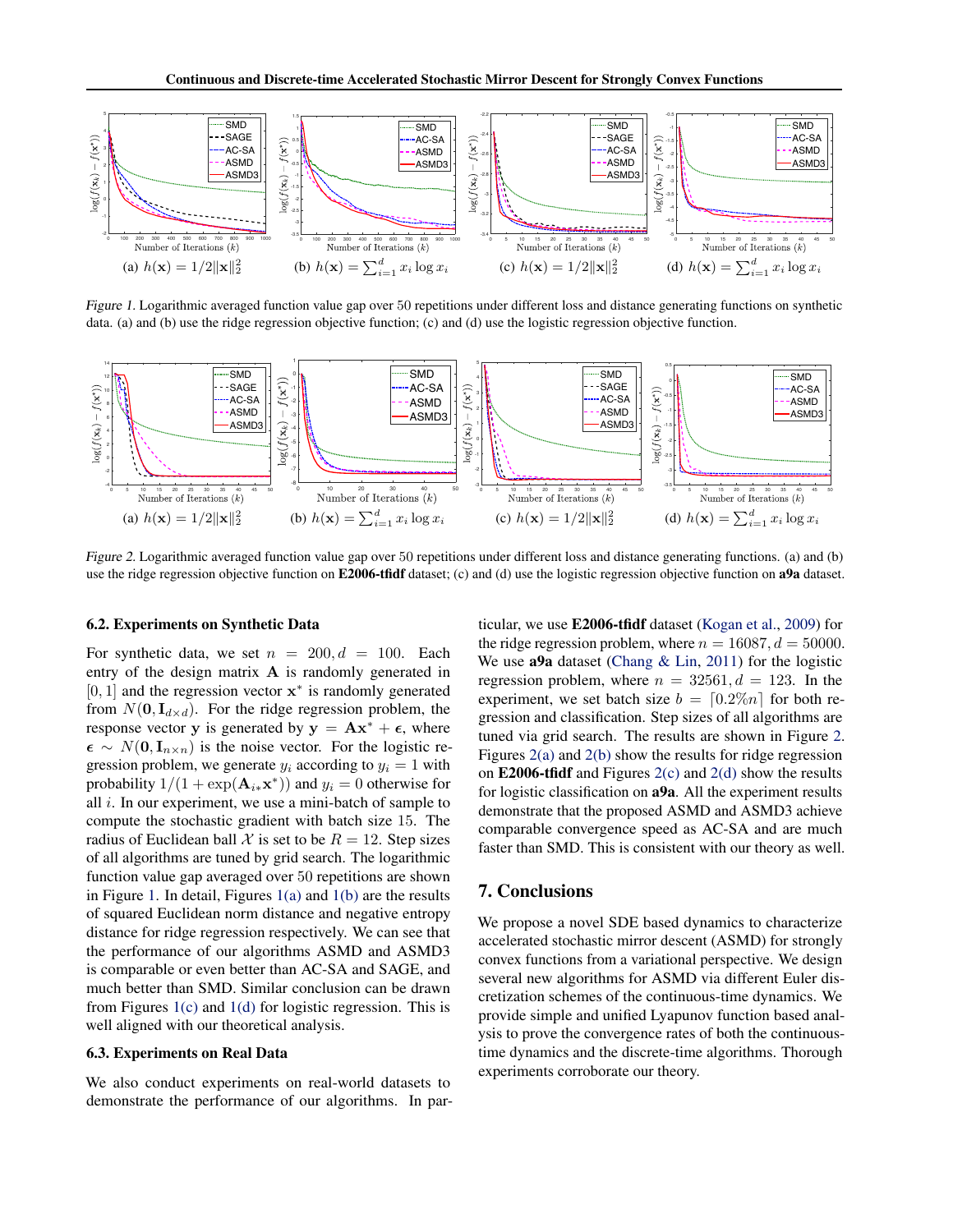

*Figure 1.* Logarithmic averaged function value gap over 50 repetitions under different loss and distance generating functions on synthetic data. (a) and (b) use the ridge regression objective function; (c) and (d) use the logistic regression objective function.



*Figure 2.* Logarithmic averaged function value gap over 50 repetitions under different loss and distance generating functions. (a) and (b) use the ridge regression objective function on E2006-tfidf dataset; (c) and (d) use the logistic regression objective function on a9a dataset.

#### 6.2. Experiments on Synthetic Data

For synthetic data, we set  $n = 200, d = 100$ . Each entry of the design matrix  $A$  is randomly generated in  $[0, 1]$  and the regression vector  $x^*$  is randomly generated from  $N(\mathbf{0}, \mathbf{I}_{d \times d})$ . For the ridge regression problem, the response vector y is generated by  $y = Ax^* + \epsilon$ , where  $\epsilon \sim N(0, I_{n \times n})$  is the noise vector. For the logistic regression problem, we generate  $y_i$  according to  $y_i = 1$  with probability  $1/(1 + \exp(\mathbf{A}_{i*}\mathbf{x}^*))$  and  $y_i = 0$  otherwise for all *i*. In our experiment, we use a mini-batch of sample to compute the stochastic gradient with batch size 15. The radius of Euclidean ball  $\mathcal X$  is set to be  $R = 12$ . Step sizes of all algorithms are tuned by grid search. The logarithmic function value gap averaged over 50 repetitions are shown in Figure 1. In detail, Figures 1(a) and 1(b) are the results of squared Euclidean norm distance and negative entropy distance for ridge regression respectively. We can see that the performance of our algorithms ASMD and ASMD3 is comparable or even better than AC-SA and SAGE, and much better than SMD. Similar conclusion can be drawn from Figures 1(c) and 1(d) for logistic regression. This is well aligned with our theoretical analysis.

#### 6.3. Experiments on Real Data

We also conduct experiments on real-world datasets to demonstrate the performance of our algorithms. In particular, we use E2006-tfidf dataset (Kogan et al., 2009) for the ridge regression problem, where  $n = 16087, d = 50000$ . We use **a9a** dataset (Chang  $\&$  Lin, 2011) for the logistic regression problem, where  $n = 32561, d = 123$ . In the experiment, we set batch size  $b = \lfloor 0.2\% n \rfloor$  for both regression and classification. Step sizes of all algorithms are tuned via grid search. The results are shown in Figure 2. Figures 2(a) and 2(b) show the results for ridge regression on **E2006-tfidf** and Figures  $2(c)$  and  $2(d)$  show the results for logistic classification on a9a. All the experiment results demonstrate that the proposed ASMD and ASMD3 achieve comparable convergence speed as AC-SA and are much faster than SMD. This is consistent with our theory as well.

### 7. Conclusions

We propose a novel SDE based dynamics to characterize accelerated stochastic mirror descent (ASMD) for strongly convex functions from a variational perspective. We design several new algorithms for ASMD via different Euler discretization schemes of the continuous-time dynamics. We provide simple and unified Lyapunov function based analysis to prove the convergence rates of both the continuoustime dynamics and the discrete-time algorithms. Thorough experiments corroborate our theory.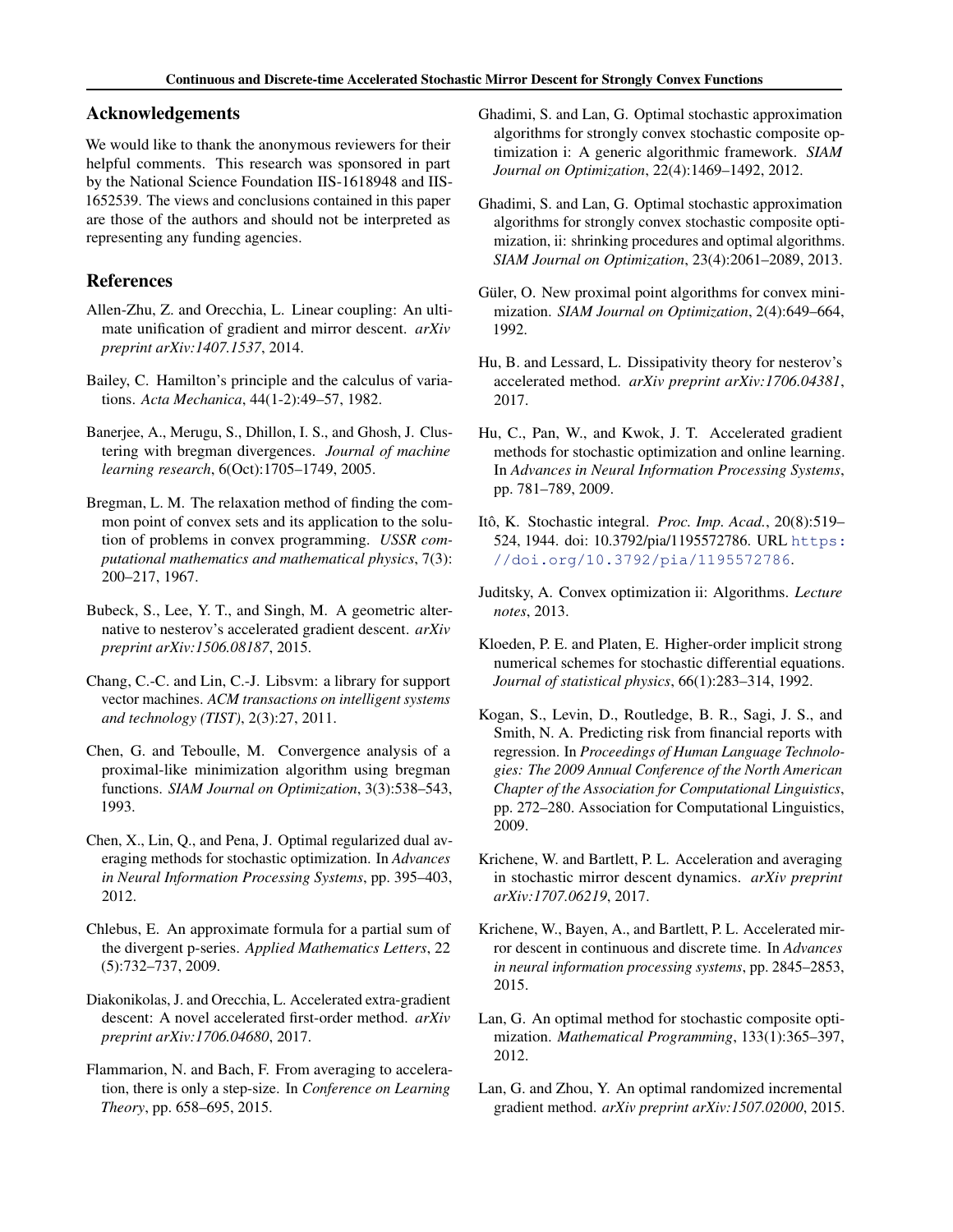# Acknowledgements

We would like to thank the anonymous reviewers for their helpful comments. This research was sponsored in part by the National Science Foundation IIS-1618948 and IIS-1652539. The views and conclusions contained in this paper are those of the authors and should not be interpreted as representing any funding agencies.

# References

- Allen-Zhu, Z. and Orecchia, L. Linear coupling: An ultimate unification of gradient and mirror descent. *arXiv preprint arXiv:1407.1537*, 2014.
- Bailey, C. Hamilton's principle and the calculus of variations. *Acta Mechanica*, 44(1-2):49–57, 1982.
- Banerjee, A., Merugu, S., Dhillon, I. S., and Ghosh, J. Clustering with bregman divergences. *Journal of machine learning research*, 6(Oct):1705–1749, 2005.
- Bregman, L. M. The relaxation method of finding the common point of convex sets and its application to the solution of problems in convex programming. *USSR computational mathematics and mathematical physics*, 7(3): 200–217, 1967.
- Bubeck, S., Lee, Y. T., and Singh, M. A geometric alternative to nesterov's accelerated gradient descent. *arXiv preprint arXiv:1506.08187*, 2015.
- Chang, C.-C. and Lin, C.-J. Libsvm: a library for support vector machines. *ACM transactions on intelligent systems and technology (TIST)*, 2(3):27, 2011.
- Chen, G. and Teboulle, M. Convergence analysis of a proximal-like minimization algorithm using bregman functions. *SIAM Journal on Optimization*, 3(3):538–543, 1993.
- Chen, X., Lin, Q., and Pena, J. Optimal regularized dual averaging methods for stochastic optimization. In *Advances in Neural Information Processing Systems*, pp. 395–403, 2012.
- Chlebus, E. An approximate formula for a partial sum of the divergent p-series. *Applied Mathematics Letters*, 22 (5):732–737, 2009.
- Diakonikolas, J. and Orecchia, L. Accelerated extra-gradient descent: A novel accelerated first-order method. *arXiv preprint arXiv:1706.04680*, 2017.
- Flammarion, N. and Bach, F. From averaging to acceleration, there is only a step-size. In *Conference on Learning Theory*, pp. 658–695, 2015.
- Ghadimi, S. and Lan, G. Optimal stochastic approximation algorithms for strongly convex stochastic composite optimization i: A generic algorithmic framework. *SIAM Journal on Optimization*, 22(4):1469–1492, 2012.
- Ghadimi, S. and Lan, G. Optimal stochastic approximation algorithms for strongly convex stochastic composite optimization, ii: shrinking procedures and optimal algorithms. *SIAM Journal on Optimization*, 23(4):2061–2089, 2013.
- Güler, O. New proximal point algorithms for convex minimization. *SIAM Journal on Optimization*, 2(4):649–664, 1992.
- Hu, B. and Lessard, L. Dissipativity theory for nesterov's accelerated method. *arXiv preprint arXiv:1706.04381*, 2017.
- Hu, C., Pan, W., and Kwok, J. T. Accelerated gradient methods for stochastic optimization and online learning. In *Advances in Neural Information Processing Systems*, pp. 781–789, 2009.
- Itô, K. Stochastic integral. Proc. Imp. Acad., 20(8):519-524, 1944. doi: 10.3792/pia/1195572786. URL https: //doi.org/10.3792/pia/1195572786.
- Juditsky, A. Convex optimization ii: Algorithms. *Lecture notes*, 2013.
- Kloeden, P. E. and Platen, E. Higher-order implicit strong numerical schemes for stochastic differential equations. *Journal of statistical physics*, 66(1):283–314, 1992.
- Kogan, S., Levin, D., Routledge, B. R., Sagi, J. S., and Smith, N. A. Predicting risk from financial reports with regression. In *Proceedings of Human Language Technologies: The 2009 Annual Conference of the North American Chapter of the Association for Computational Linguistics*, pp. 272–280. Association for Computational Linguistics, 2009.
- Krichene, W. and Bartlett, P. L. Acceleration and averaging in stochastic mirror descent dynamics. *arXiv preprint arXiv:1707.06219*, 2017.
- Krichene, W., Bayen, A., and Bartlett, P. L. Accelerated mirror descent in continuous and discrete time. In *Advances in neural information processing systems*, pp. 2845–2853, 2015.
- Lan, G. An optimal method for stochastic composite optimization. *Mathematical Programming*, 133(1):365–397, 2012.
- Lan, G. and Zhou, Y. An optimal randomized incremental gradient method. *arXiv preprint arXiv:1507.02000*, 2015.